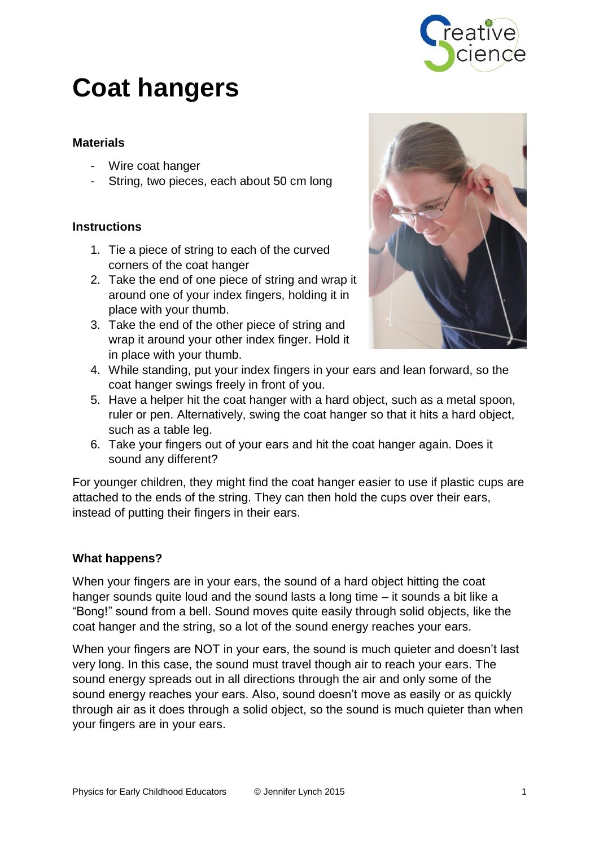

# **Coat hangers**

## **Materials**

- Wire coat hanger
- String, two pieces, each about 50 cm long

### **Instructions**

- 1. Tie a piece of string to each of the curved corners of the coat hanger
- 2. Take the end of one piece of string and wrap it around one of your index fingers, holding it in place with your thumb.
- 3. Take the end of the other piece of string and wrap it around your other index finger. Hold it in place with your thumb.



- 4. While standing, put your index fingers in your ears and lean forward, so the coat hanger swings freely in front of you.
- 5. Have a helper hit the coat hanger with a hard object, such as a metal spoon, ruler or pen. Alternatively, swing the coat hanger so that it hits a hard object, such as a table leg.
- 6. Take your fingers out of your ears and hit the coat hanger again. Does it sound any different?

For younger children, they might find the coat hanger easier to use if plastic cups are attached to the ends of the string. They can then hold the cups over their ears, instead of putting their fingers in their ears.

### **What happens?**

When your fingers are in your ears, the sound of a hard object hitting the coat hanger sounds quite loud and the sound lasts a long time – it sounds a bit like a "Bong!" sound from a bell. Sound moves quite easily through solid objects, like the coat hanger and the string, so a lot of the sound energy reaches your ears.

When your fingers are NOT in your ears, the sound is much quieter and doesn't last very long. In this case, the sound must travel though air to reach your ears. The sound energy spreads out in all directions through the air and only some of the sound energy reaches your ears. Also, sound doesn't move as easily or as quickly through air as it does through a solid object, so the sound is much quieter than when your fingers are in your ears.